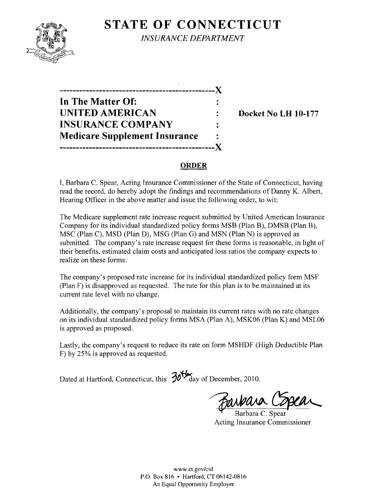## **STATE OF CONNECTICUT** *INSURANCE DEPARTMENT*



**-----------------------------------------------)( In The Matter Of: UNITED AMERICAN** : Docket No LH 10-177 **INSURANCE COMPANY Medicare Supplement Insurance -----------------------------------------------)(** 

#### **ORDER**

I, Barbara C. Spear, Acting Insurance Commissioner of the State of Connecticut, having read the record, do hereby adopt the findings and recommendations of Danny K. Albert, Hearing Officer in the above matter and issue the following order, to wit:

The Medicare supplement rate increase request submitted by United American Insurance Company for its individual standardized policy forms MSB (Plan B), DMSB (Plan B), MSC (Plan C), MSD (Plan D), MSG (Plan G) and MSN (Plan N) is approved as submitted. The company's rate increase request for these forms is reasonable, in light of their benefits, estimated claim costs and anticipated loss ratios the company expects to realize on these forms.

The company's proposed rate increase for its individual standardized policy form MSF (Plan F) is disapproved as requested. The rate for this plan is to be maintained at its current rate level with no change.

Additionally, the company's proposal to maintain its current rates with no rate changes on its individual standardized policy forms MSA (Plan A), MSK06 (Plan K) and MSL06 is approved as proposed.

Lastly, the company's request to reduce its rate on form MSHDF (High Deductible Plan F) by 25% is approved as requested.

Dated at Hartford, Connecticut, this  $\frac{304}{100}$  day of December, 2010.

Barbara C. Spear

Acting Insurance Commissioner

www.ct.gov/cid P.O. Box 816 • Hartford, CT 06142-0816 An Equal Opportunity Employer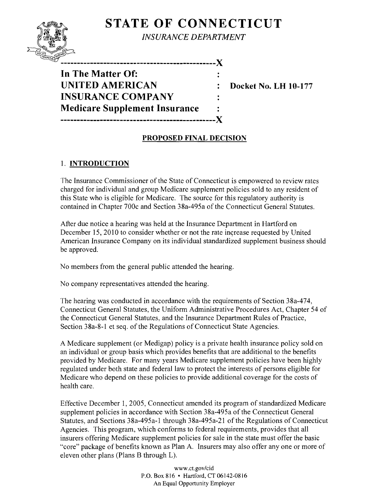# STATE OF CONNECTICUT



*INSURANCE DEPARTMENT* 

--------------------------X In The Matter Of: UNITED AMERICAN : Docket No. LH 10-177 INSURANCE COMPANY Medicare Supplement Insurance -----------------------------------------------X

### PROPOSED FINAL DECISION

#### 1. INTRODUCTION

The Insurance Commissioner of the State of Connecticut is empowered to review rates charged for individual and group Medicare supplement policies sold to any resident of this State who is eligible for Medicare. The source for this regulatory authority is contained in Chapter 700c and Section 38a-495a of the Connecticut General Statutes.

After due notice a hearing was held at the Insurance Department in Hartford on December 15, 2010 to consider whether or not the rate increase requested by United American Insurance Company on its individual standardized supplement business should be approved.

No members from the general public attended the hearing.

No company representatives attended the hearing.

The hearing was conducted in accordance with the requirements of Section 38a-474, Connecticut General Statutes, the Uniform Administrative Procedures Act, Chapter 54 of the Connecticut General Statutes, and the Insurance Department Rules of Practice, Section 38a-8-1 et seq. of the Regulations of Connecticut State Agencies.

A Medicare supplement (or Medigap) policy is a private health insurance policy sold on an individual or group basis which provides benefits that are additional to the benefits provided by Medicare. For many years Medicare supplement policies have been highly regulated under both state and federal law to protect the interests of persons eligible for Medicare who depend on these policies to provide additional coverage for the costs of health care.

Effective December 1,2005, Connecticut amended its program of standardized Medicare supplement policies in accordance with Section 38a-495a of the Connecticut General Statutes, and Sections 38a-495a-1 through 38a-495a-21 of the Regulations of Connecticut Agencies. This program, which conforms to federal requirements, provides that all insurers offering Medicare supplement policies for sale in the state must offer the basic "core" package of benefits known as Plan A. Insurers may also offer anyone or more of eleven other plans (Plans B through L).

> *www.ct.gov/cid*  P.O. Box 816 • Hartford, CT 06142-0816 An Equal Opportunity Employer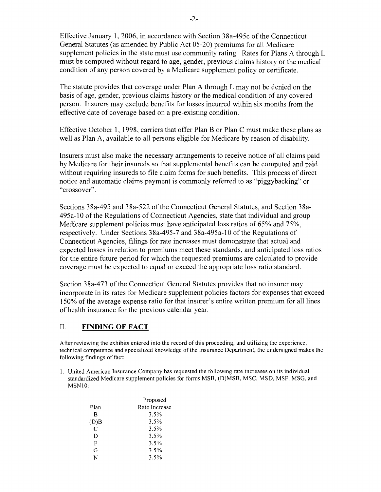Effective January 1,2006, in accordance with Section 38a-495c ofthe Connecticut General Statutes (as amended by Public Act 05-20) premiums for all Medicare supplement policies in the state must use community rating. Rates for Plans A through L must be computed without regard to age, gender, previous claims history or the medical condition of any person covered by a Medicare supplement policy or certificate.

The statute provides that coverage under Plan A through L may not be denied on the basis of age, gender, previous claims history or the medical condition of any covered person. Insurers may exclude benefits for losses incurred within six months from the effective date of coverage based on a pre-existing condition.

Effective October 1, 1998, carriers that offer Plan B or Plan C must make these plans as well as Plan A, available to all persons eligible for Medicare by reason of disability.

Insurers must also make the necessary arrangements to receive notice of all claims paid by Medicare for their insureds so that supplemental benefits can be computed and paid without requiring insureds to file claim forms for such benefits. This process of direct notice and automatic claims payment is commonly referred to as "piggybacking" or "crossover".

Sections 38a-495 and 38a-522 of the Connecticut General Statutes, and Section 38a-495a-lO of the Regulations of Connecticut Agencies, state that individual and group Medicare supplement policies must have anticipated loss ratios of 65% and 75%, respectively. Under Sections 38a-495-7 and 38a-495a-lO of the Regulations of Connecticut Agencies, filings for rate increases must demonstrate that actual and expected losses in relation to premiums meet these standards, and anticipated loss ratios for the entire future period for which the requested premiums are calculated to provide coverage must be expected to equal or exceed the appropriate loss ratio standard.

Section 38a-473 of the Connecticut General Statutes provides that no insurer may incorporate in its rates for Medicare supplement policies factors for expenses that exceed 150% of the average expense ratio for that insurer's entire written premium for all lines of health insurance for the previous calendar year.

#### II. **FINDING OF FACT**

After reviewing the exhibits entered into the record ofthis proceeding, and utilizing the experience, technical competence and specialized knowledge of the Insurance Department, the undersigned makes the following findings of fact:

1. United American Insurance Company has requested the following rate increases on its individual standardized Medicare supplement policies for forms MSB, (D)MSB, MSC, MSD, MSF, MSG, and MSNIO:

|      | Proposed      |  |
|------|---------------|--|
| Plan | Rate Increase |  |
| R    | 3.5%          |  |
| (D)B | 3.5%          |  |
| C    | 3.5%          |  |
| D    | 3.5%          |  |
| F    | 3.5%          |  |
| G    | 3.5%          |  |
| N    | 3.5%          |  |
|      |               |  |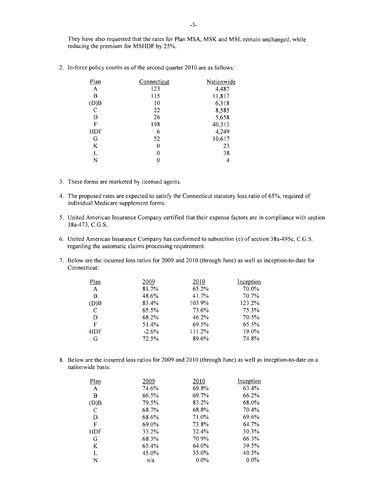They have also requested that the rates for Plan MSA, MSK and MSL remain unchanged, while reducing the premium for MSHOF by 25%.

| Plan       | Connecticut | Nationwide |
|------------|-------------|------------|
| A          | 123         | 4,487      |
| В          | 115         | 11,817     |
| (D)B       | 10          | 6,318      |
| C          | 22          | 8,585      |
| D          | 26          | 5,658      |
| F          | 198         | 40,313     |
| <b>HDF</b> | 6           | 4,249      |
| G          | 52          | 10,617     |
| K          | 0           | 23         |
| L          | 0           | 38         |
| N          | 0           | 4          |
|            |             |            |

2. In-force policy counts as of the second quarter 2010 are as follows:

- 3. These forms are marketed by licensed agents.
- 4. The proposed rates are expected to satisfy the Connecticut statutory loss ratio of 65%, required of individual Medicare supplement forms.
- 5. United American Insurance Company certified that their expense factors are in compliance with section 38a-473, C.G.S.
- 6. United American Insurance Company has conformed to subsection (e) of section 38a-495c, C.G.S. regarding the automatic claims processing requirement.
- 7. Below are the incurred loss ratios for 2009 and 2010 (through June) as well as inception-to-date for Connecticut:

| 2009    | 2010   | Inception |
|---------|--------|-----------|
| 81.7%   | 65.2%  | 70.0%     |
| 48.6%   | 41.7%  | 70.7%     |
| 83.4%   | 103.9% | 123.2%    |
| 65.5%   | 73.6%  | 75.3%     |
| 68.2%   | 46.2%  | 70.5%     |
| 51.4%   | 69.5%  | 65.5%     |
| $-2.6%$ | 111.2% | 19.0%     |
| 72.5%   | 89.6%  | 74.8%     |
|         |        |           |

8. Below are the incurred loss ratios for 2009 and 2010 (through June) as well as inception-to-date on a nationwide basis:

| Plan         | 2009  | 2010    | Inception |
|--------------|-------|---------|-----------|
| $\mathsf{A}$ | 74.6% | 69.8%   | 63.4%     |
| В            | 66.5% | 69.7%   | 66.2%     |
| (D)B         | 79.5% | 83.2%   | 68.0%     |
| C            | 68.7% | 68.8%   | 70.4%     |
| D            | 68.6% | 71.0%   | 69.6%     |
| F            | 69.0% | 73.8%   | 64.7%     |
| HDF          | 33.2% | 32.4%   | $30.3\%$  |
| G            | 68.3% | 70.9%   | 66.3%     |
| K            | 65.4% | 64.0%   | 39.5%     |
| L            | 45.0% | 35.0%   | 40.5%     |
| N            | n/a   | $0.0\%$ | $0.0\%$   |